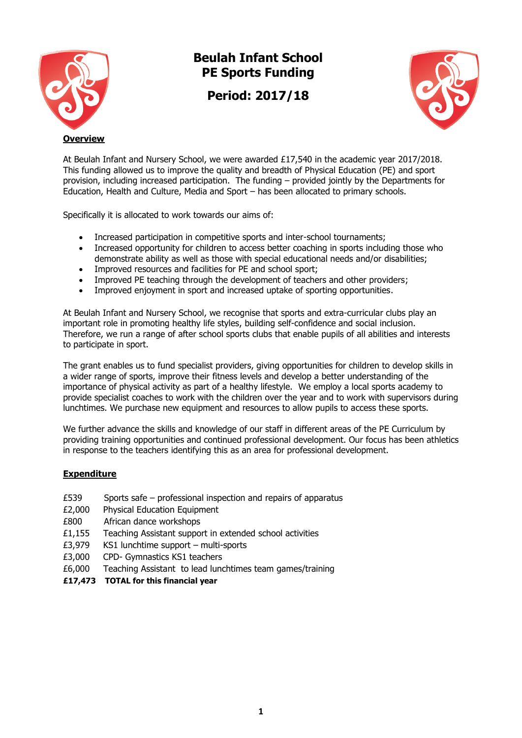

# **Beulah Infant School PE Sports Funding**

**Period: 2017/18**



At Beulah Infant and Nursery School, we were awarded £17,540 in the academic year 2017/2018. This funding allowed us to improve the quality and breadth of Physical Education (PE) and sport provision, including increased participation. The funding – provided jointly by the Departments for Education, Health and Culture, Media and Sport – has been allocated to primary schools.

Specifically it is allocated to work towards our aims of:

- Increased participation in competitive sports and inter-school tournaments;
- Increased opportunity for children to access better coaching in sports including those who demonstrate ability as well as those with special educational needs and/or disabilities;
- Improved resources and facilities for PE and school sport;
- Improved PE teaching through the development of teachers and other providers;
- Improved enjoyment in sport and increased uptake of sporting opportunities.

At Beulah Infant and Nursery School, we recognise that sports and extra-curricular clubs play an important role in promoting healthy life styles, building self-confidence and social inclusion. Therefore, we run a range of after school sports clubs that enable pupils of all abilities and interests to participate in sport.

The grant enables us to fund specialist providers, giving opportunities for children to develop skills in a wider range of sports, improve their fitness levels and develop a better understanding of the importance of physical activity as part of a healthy lifestyle. We employ a local sports academy to provide specialist coaches to work with the children over the year and to work with supervisors during lunchtimes. We purchase new equipment and resources to allow pupils to access these sports.

We further advance the skills and knowledge of our staff in different areas of the PE Curriculum by providing training opportunities and continued professional development. Our focus has been athletics in response to the teachers identifying this as an area for professional development.

## **Expenditure**

- £539 Sports safe professional inspection and repairs of apparatus
- £2,000 Physical Education Equipment
- £800 African dance workshops
- £1,155 Teaching Assistant support in extended school activities
- £3,979 KS1 lunchtime support multi-sports
- £3,000 CPD- Gymnastics KS1 teachers
- £6,000 Teaching Assistant to lead lunchtimes team games/training
- **£17,473 TOTAL for this financial year**